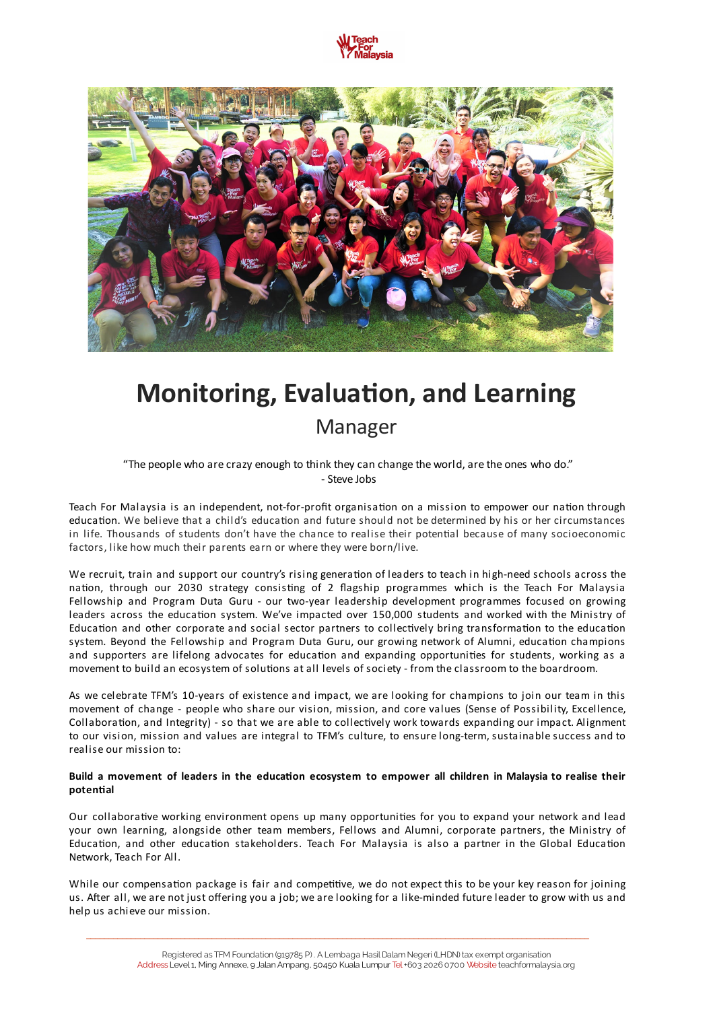



# **Monitoring, Evaluation, and Learning** Manager

"The people who are crazy enough to think they can change the world, are the ones who do." - Steve Jobs

Teach For Malaysia is an independent, not-for-profit organisation on a mission to empower our nation through education. We believe that a child's education and future should not be determined by his or her circumstances in life. Thousands of students don't have the chance to realise their potential because of many socioeconomic factors, like how much their parents earn or where they were born/live.

We recruit, train and support our country's rising generation of leaders to teach in high-need schools across the nation, through our 2030 strategy consisting of 2 flagship programmes which is the Teach For Malaysia Fellowship and Program Duta Guru - our two-year leadership development programmes focused on growing leaders across the education system. We've impacted over 150,000 students and worked with the Ministry of Education and other corporate and social sector partners to collectively bring transformation to the education system. Beyond the Fellowship and Program Duta Guru, our growing network of Alumni, education champions and supporters are lifelong advocates for education and expanding opportunities for students, working as a movement to build an ecosystem of solutions at all levels of society - from the classroom to the boardroom.

As we celebrate TFM's 10-years of existence and impact, we are looking for champions to join our team in this movement of change - people who share our vision, mission, and core values (Sense of Possibility, Excellence, Collaboration, and Integrity) - so that we are able to collectively work towards expanding our impact. Alignment to our vision, mission and values are integral to TFM's culture, to ensure long-term, sustainable success and to realise our mission to:

#### Build a movement of leaders in the education ecosystem to empower all children in Malaysia to realise their **potenal**

Our collaborative working environment opens up many opportunities for you to expand your network and lead your own learning, alongside other team members, Fellows and Alumni, corporate partners, the Ministry of Education, and other education stakeholders. Teach For Malaysia is also a partner in the Global Education Network, Teach For All.

While our compensation package is fair and competitive, we do not expect this to be your key reason for joining us. After all, we are not just offering you a job; we are looking for a like-minded future leader to grow with us and help us achieve our mission.

\_\_\_\_\_\_\_\_\_\_\_\_\_\_\_\_\_\_\_\_\_\_\_\_\_\_\_\_\_\_\_\_\_\_\_\_\_\_\_\_\_\_\_\_\_\_\_\_\_\_\_\_\_\_\_\_\_\_\_\_\_\_\_\_\_\_\_\_\_\_\_\_\_\_\_\_\_\_\_\_\_\_\_\_\_\_\_\_\_\_\_\_\_\_\_\_\_\_\_\_\_\_\_\_\_\_\_\_\_\_\_\_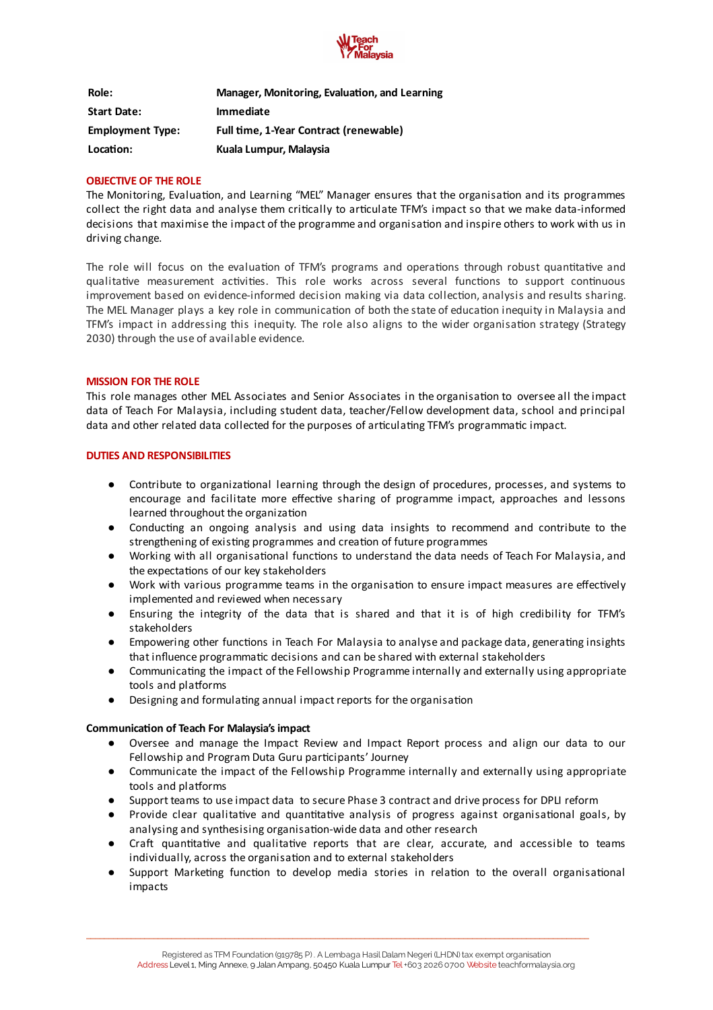

| Role:                   | Manager, Monitoring, Evaluation, and Learning |
|-------------------------|-----------------------------------------------|
| <b>Start Date:</b>      | <b>Immediate</b>                              |
| <b>Employment Type:</b> | Full time, 1-Year Contract (renewable)        |
| Location:               | Kuala Lumpur, Malaysia                        |

#### **OBJECTIVE OF THE ROLE**

The Monitoring, Evaluation, and Learning "MEL" Manager ensures that the organisation and its programmes collect the right data and analyse them critically to articulate TFM's impact so that we make data-informed decisions that maximise the impact of the programme and organisation and inspire others to work with us in driving change.

The role will focus on the evaluation of TFM's programs and operations through robust quantitative and qualitative measurement activities. This role works across several functions to support continuous improvement based on evidence-informed decision making via data collection, analysis and results sharing. The MEL Manager plays a key role in communication of both the state of education inequity in Malaysia and TFM's impact in addressing this inequity. The role also aligns to the wider organisation strategy (Strategy 2030) through the use of available evidence.

#### **MISSION FOR THE ROLE**

This role manages other MEL Associates and Senior Associates in the organisation to oversee all the impact data of Teach For Malaysia, including student data, teacher/Fellow development data, school and principal data and other related data collected for the purposes of articulating TFM's programmatic impact.

#### **DUTIES AND RESPONSIBILITIES**

- Contribute to organizational learning through the design of procedures, processes, and systems to encourage and facilitate more effective sharing of programme impact, approaches and lessons learned throughout the organization
- Conducting an ongoing analysis and using data insights to recommend and contribute to the strengthening of existing programmes and creation of future programmes
- Working with all organisational functions to understand the data needs of Teach For Malaysia, and the expectations of our key stakeholders
- Work with various programme teams in the organisation to ensure impact measures are effectively implemented and reviewed when necessary
- Ensuring the integrity of the data that is shared and that it is of high credibility for TFM's stakeholders
- Empowering other functions in Teach For Malaysia to analyse and package data, generating insights that influence programmatic decisions and can be shared with external stakeholders
- Communicating the impact of the Fellowship Programme internally and externally using appropriate tools and platforms
- $\bullet$  Designing and formulating annual impact reports for the organisation

#### **Communication of Teach For Malaysia's impact**

- Oversee and manage the Impact Review and Impact Report process and align our data to our Fellowship and Program Duta Guru participants' Journey
- Communicate the impact of the Fellowship Programme internally and externally using appropriate tools and platforms
- Support teams to use impact data to secure Phase 3 contract and drive process for DPLI reform
- Provide clear qualitative and quantitative analysis of progress against organisational goals, by analysing and synthesising organisation-wide data and other research
- Craft quantitative and qualitative reports that are clear, accurate, and accessible to teams individually, across the organisation and to external stakeholders
- Support Marketing function to develop media stories in relation to the overall organisational impacts

\_\_\_\_\_\_\_\_\_\_\_\_\_\_\_\_\_\_\_\_\_\_\_\_\_\_\_\_\_\_\_\_\_\_\_\_\_\_\_\_\_\_\_\_\_\_\_\_\_\_\_\_\_\_\_\_\_\_\_\_\_\_\_\_\_\_\_\_\_\_\_\_\_\_\_\_\_\_\_\_\_\_\_\_\_\_\_\_\_\_\_\_\_\_\_\_\_\_\_\_\_\_\_\_\_\_\_\_\_\_\_\_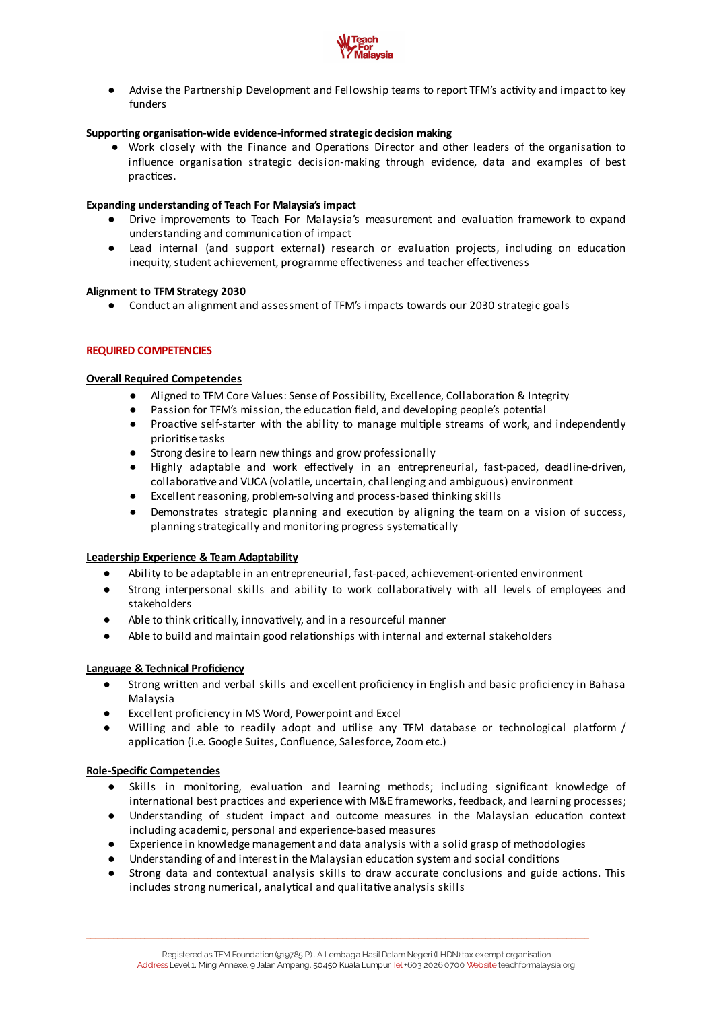

● Advise the Partnership Development and Fellowship teams to report TFM's activity and impact to key funders

# **Supporting organisation-wide evidence-informed strategic decision making**

• Work closely with the Finance and Operations Director and other leaders of the organisation to influence organisation strategic decision-making through evidence, data and examples of best practices.

## **Expanding understanding of Teach For Malaysia's impact**

- Drive improvements to Teach For Malaysia's measurement and evaluation framework to expand understanding and communication of impact
- Lead internal (and support external) research or evaluation projects, including on education inequity, student achievement, programme effectiveness and teacher effectiveness

#### **Alignment to TFM Strategy 2030**

● Conduct an alignment and assessment of TFM's impacts towards our 2030 strategic goals

## **REQUIRED COMPETENCIES**

#### **Overall Required Competencies**

- Aligned to TFM Core Values: Sense of Possibility, Excellence, Collaboration & Integrity
- $\bullet$  Passion for TFM's mission, the education field, and developing people's potential
- $\bullet$  Proactive self-starter with the ability to manage multiple streams of work, and independently priorise tasks
- Strong desire to learn new things and grow professionally
- Highly adaptable and work effectively in an entrepreneurial, fast-paced, deadline-driven, collaborative and VUCA (volatile, uncertain, challenging and ambiguous) environment
- Excellent reasoning, problem-solving and process-based thinking skills
- Demonstrates strategic planning and execution by aligning the team on a vision of success, planning strategically and monitoring progress systematically

## **Leadership Experience & Team Adaptability**

- Ability to be adaptable in an entrepreneurial, fast-paced, achievement-oriented environment
- Strong interpersonal skills and ability to work collaboratively with all levels of employees and stakeholders
- $\bullet$  Able to think critically, innovatively, and in a resourceful manner
- Able to build and maintain good relationships with internal and external stakeholders

## **Language & Technical Proficiency**

- Strong written and verbal skills and excellent proficiency in English and basic proficiency in Bahasa Malaysia
- Excellent proficiency in MS Word, Powerpoint and Excel
- Willing and able to readily adopt and utilise any TFM database or technological platform / application (i.e. Google Suites, Confluence, Salesforce, Zoom etc.)

## **Role-Specific Competencies**

- Skills in monitoring, evaluation and learning methods; including significant knowledge of international best practices and experience with M&E frameworks, feedback, and learning processes;
- Understanding of student impact and outcome measures in the Malaysian education context including academic, personal and experience-based measures
- Experience in knowledge management and data analysis with a solid grasp of methodologies
- Understanding of and interest in the Malaysian education system and social conditions

\_\_\_\_\_\_\_\_\_\_\_\_\_\_\_\_\_\_\_\_\_\_\_\_\_\_\_\_\_\_\_\_\_\_\_\_\_\_\_\_\_\_\_\_\_\_\_\_\_\_\_\_\_\_\_\_\_\_\_\_\_\_\_\_\_\_\_\_\_\_\_\_\_\_\_\_\_\_\_\_\_\_\_\_\_\_\_\_\_\_\_\_\_\_\_\_\_\_\_\_\_\_\_\_\_\_\_\_\_\_\_\_

Strong data and contextual analysis skills to draw accurate conclusions and guide actions. This includes strong numerical, analytical and qualitative analysis skills